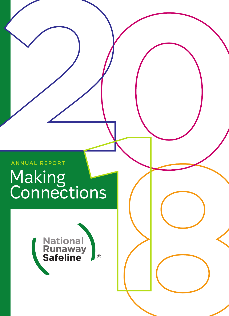# ANNUAL REPORT Making **Connections**

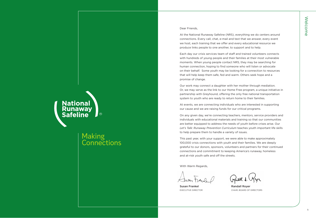# **National<br>Runaway<br>Safeline**

## Making **Connections**

#### Dear Friends,

At the National Runaway Safeline (NRS), everything we do centers around connections. Every call, chat, e-mail and text that we answer, every event we host, each training that we offer and every educational resource we produce links people to one another, to support and to help.

Each day our crisis services team of staff and trained volunteers connects with hundreds of young people and their families at their most vulnerable moments. When young people contact NRS, they may be searching for human connection, hoping to find someone who will listen or advocate on their behalf. Some youth may be looking for a connection to resources that will help keep them safe, fed and warm. Others seek hope and a promise of change.

Our work may connect a daughter with her mother through mediation. Or, we may serve as the link to our Home Free program, a unique initiative in partnership with Greyhound, offering the only free national transportation system to youth who are ready to return home to their families.

At events, we are connecting individuals who are interested in supporting our cause and we are raising funds for our critical programs.

On any given day, we're connecting teachers, mentors, service providers and individuals with educational materials and training so that our communities are better equipped to address the needs of youth before crises arise. Our *Let's Talk: Runaway Prevention Curriculum* teaches youth important life skills to help prepare them to handle a variety of issues.

This past year, with your support, we were able to make approximately 100,000 crisis connections with youth and their families. We are deeply grateful to our donors, sponsors, volunteers and partners for their continued connections and commitment to keeping America's runaway, homeless and at-risk youth safe and off the streets.

With Warm Regards,

Susan Frankel **Randall Royer** 

EXECUTIVE DIRECTOR CHAIR, BOARD OF DIRECTORS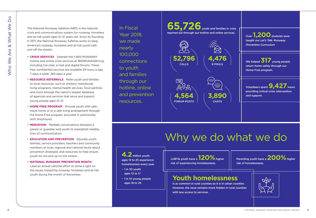The National Runaway Safeline (NRS) is the national crisis and communications system for runaway, homeless and at-risk youth ages 12–21 years old. Since its founding in 1971, the National Runaway Safeline works to keep America's runaway, homeless and at-risk youth safe and off the streets.

- **CRISIS SERVICES** Operate the 1-800-RUNAWAY hotline and online crisis services at 1800RUNAWAY.org, including live chat, e-mail and digital forums. These free, confidential services are available 24 hours a day, 7 days a week, 365 days a year.
- **RESOURCE REFERRALS** Refer youth and families to local resources, such as shelters, transitional living programs, mental health services, food pantries and more through the nation's largest database of agencies and services that serve and support young people ages 12–21.
- **HOME FREE PROGRAM** Provide youth with safe travel home or to a safe living arrangement through the Home Free program, provided in partnership with Greyhound.
- **MEDIATION** Mediate conversations between a parent or guardian and youth to reestablish healthy lines of communication.
- **EDUCATION AND PREVENTION** Educate youth, families, service providers, teachers and community members at local, regional and national levels about prevention strategies and resources to help ensure youth do not end up on the streets.
- **NATIONAL RUNAWAY PREVENTION MONTH** Lead an annual national effort to shine a light on the issues impacting runaway, homeless and at-risk youth during the month of November.

In Fiscal Year 2018, we made nearly 100,000 connections to youth and families through our hotline, online and prevention resources.



Over **1,200** students were taught our *Let's Talk: Runaway Prevention Curriculum*

We helped **317** young people return home safely through our Home Free program.

Volunteers spent **9,427** hours providing critical crisis intervention and support.

# Why we do what we do

**4.2** million youth ages 13 to 25 experience homelessness every year.

- 1 in 30 youth ages 13 to 17
- 1 in 10 young people ages 18 to 25

LGBTQ youth have a **120%** higher risk of experiencing homelessness.

Parenting youth have a **200%** higher risk of homelessness.

## **Youth homelessness**

is as common in rural counties as it is in urban counties. However, the issue remains more hidden in rural counties with less access to services.

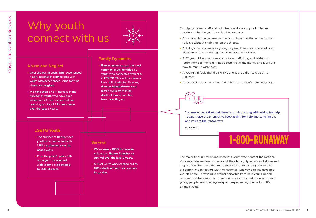# Why youth connect with us



#### Abuse and Neglect

- Over the past 5 years, NRS experienced a 65% increase in connections with youth who experienced some form of abuse and neglect.
- We have seen a 46% increase in the number of youth who have been kicked out of their homes and are reaching out to NRS for assistance over the past 2 years.

## LGBTQ Youth

- The number of transgender youth who connected with NRS has doubled over the past 2 years.
- Over the past 2 years, 31% more youth connected with us for a crisis related to LGBTQ issues.

### Family Dynamics

• Family dynamics was the most common issue identified by youth who connected with NRS in FY2018. This includes issues like conflict with family rules, divorce, blended/extended family, custody, moving, death of family member, teen parenting etc.

#### **Survival**

- We've seen a 100% increase in reliance on the sex industry for survival over the last 10 years.
- 68% of youth who reached out to NRS relied on friends or relatives to survive.

Our highly trained staff and volunteers address a myriad of issues experienced by the youth and families we serve.

- An abusive home environment leaves a teen questioning her options to leave without ending up on the streets.
- Bullying at school makes a young boy feel insecure and scared, and his peers and authority figures fail to stand up for him.
- A 20 year old woman wants out of sex trafficking and wishes to return home to her family, but doesn't have any money and is unsure how to reunite with them.
- A young girl feels that their only options are either suicide or to run away.
- A parent desperately wants to find her son who left home days ago.

You made me realize that there is nothing wrong with asking for help. Today, I have the strength to keep asking for help and carrying on, and you are the reason why.

DILLION, 17

# 1-800-RUNAWAY

The majority of runaway and homeless youth who contact the National Runaway Safeline raise issues about their family dynamics and abuse and neglect. We also know that more than 50% of the young people who are currently connecting with the National Runaway Safeline have not yet left home – providing a critical opportunity to help young people seek support from available community resources and to prevent more young people from running away and experiencing the perils of life on the streets.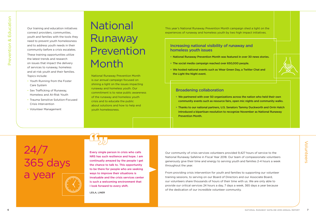Our training and education initiatives connect providers, communities, youth and families with the tools they need to prevent youth homelessness and to address youth needs in their community before a crisis escalates. These training opportunities utilize the latest trends and research on issues that impact the delivery of services to runaway, homeless and at-risk youth and their families. Topics include:

- Youth Running from the Foster Care System
- Sex Trafficking of Runaway, Homeless and At-Risk Youth
- Trauma Sensitive Solution-Focused Crisis Intervention
- Volunteer Management

# <sup>6</sup> NATIONAL RUNAWAY SAFELINE 2018 ANNUAL REPORT <sup>7</sup> Prevention & Education **National** Runaway Prevention Month

National Runaway Prevention Month is our annual campaign focused on shining a light on the issues impacting runaway and homeless youth. Our commitment is to raise public awareness of the runaway and homeless youth crisis and to educate the public about solutions and how to help end youth homelessness.

This year's National Runaway Prevention Month campaign shed a light on the experiences of runaway and homeless youth by two high impact initiatives.

## Increasing national visibility of runaway and homeless youth issues

- National Runaway Prevention Month was featured in over 30 news stories.
- The social media campaign reached over 650,000 people.
- We hosted national events such as Wear Green Day, a Twitter Chat and the Light the Night event.



### Broadening collaboration

- We partnered with over 50 organizations across the nation who held their own community events such as resource fairs, open mic nights and community walks.
- Thanks to our national partners, U.S. Senators Tammy Duckworth and Orrin Hatch introduced a bipartisan resolution to recognize November as National Runaway Prevention Month.

# 24/7 365 days a year

Every single person in crisis who calls NRS has such resilience and hope. I am continually amazed by the people I get the chance to talk to. This opportunity to be there for people who are seeking ways to improve their situations is invaluable and the crisis services center is such a welcoming environment that I look forward to every shift.

LEILA, LINER

Our community of crisis services volunteers provided 9,427 hours of service to the National Runaway Safeline in Fiscal Year 2018. Our team of compassionate volunteers generously give their time and energy to serving youth and families 2-4 hours a week throughout the year.

From providing crisis intervention for youth and families to supporting our volunteer training sessions, to serving on our Board of Directors and our Associate Board, our volunteers share thousands of hours of their time with us. We are only able to provide our critical services 24 hours a day, 7 days a week, 365 days a year because of the dedication of our incredible volunteer community.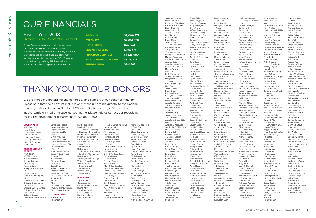## OUR FINANCIALS

## Fiscal Year 2018 October 1, 2017 – September 30, 2018 These financial statements do not represent the complete set of audited financial

Combined Federal

Woman's Club

The Glenmede

Olympic Steel Premiere Inc. Pricewaterhouse-Coopers LLP Radio Flyer

Incorporated

United Airlines Ventas Vibes

Exelon

statements for the National Runaway Safeline. Our complete audited financial statements for the year ended September 30, 2018 may be obtained by visiting NRS' website at www.1800runaway.org/about-us/financials.

| <b>REVENUE</b>                  | \$2,008,377  |
|---------------------------------|--------------|
| <b>EXPENSES</b>                 | \$2.014.570  |
| <b>NET INCOME</b>               | $($ \$6,193) |
| <b>END NET ASSETS</b>           | \$265.375    |
| <b>PROGRAM SERVICES</b>         | \$1.523.980  |
| <b>MANAGEMENT &amp; GENERAL</b> | \$349.008    |
| <b>FUNDRAISING</b>              | \$141,582    |

# THANK YOU TO OUR DONORS

We are incredibly grateful for the generosity and support of our donor community. Please note that the below list includes only those gifts made directly to the National Runaway Safeline between October 1, 2017 and September 30, 2018. If we have inadvertently omitted or misspelled your name, please help us correct our records by calling the development department at 773-880-9860.

**GOVERNMENT**

Administration on Children, Youth & Families Family & Youth Services Bureau U.S. Department of Health & Human Services

#### **CORPORATIONS &**

**GROUPS** AAR CORP ABT Electronics Aim NationaLease Allstate Insurance Company AttorneySync Benny's Chop House, LLC CAF America Carlton Technologies, Inc. Central Federal Savings Chicago Blackhawks Charities Chicago Cubs Charities Chicago Tube & Iron CME Group Coldwell Banker Residential Brokerage

Campaign Donors Eugene Tkalitch & Associates, Ltd GFWC-WI Junior GFWC Oconomowoc Junior Woman's Club Trust Company Greyhound Lines, Inc. Nascent Capital LLC Robert W. Baird & Co. SMB Help Desk, Inc. TIAA Serves Corporate Coldwell Banker Residential Brokerage Charitable Foundation Noonmark Foundation PepsiCo Foundation Poshard Foundation for Abused Children Sulzer Family Foundation United Way of Greater Philadelphia & Southern New Jersey United Way of Metropolitan Chicago Verizon Foundation William Blair & Company, LLC Foundation Wolfort Family Foundation **INDIVIDUALS**

Wakeland High School Jay Abrams Quinn Adams

#### Gay Straight Alliance West Monroe Partners **FOUNDATIONS** Rachel Myra Ambrozewski Karen Anagnost Richard Andersen Erica Anderson

Atwater Kent Foundation Baird Foundation Maryam & Keith Altena Rachel & David Andrews Ian Andrusyk Nicole Anslover Niki Aquino Leonard Aranas Pamela Asplund Jeannette Atkinson Darius Augustine Povilaitis Jan & Robert Avallone Loren Azevedo Samara Badat Sybil & Rodger Badger Francis Bakalar Chris Banoub Richard Barkan Steve Barrett Mari & Bob Bartilotta Joan & Keith Bauman Linda Finley Belan Jennifer Benoit-Bryan & Josh Bryan Donna Beranek Jeff Berman Scott Besunder Janet Bischof-Rosario

Kris Blaha

Joe Morris

Alison Bixby Buckley Maureen Blaha & Diane & William Blaha Christy & Bob Bower Rebecca Bowlin Patrick Bowman Pamela Boyce Ryan Bracken Laura Branden Jorie & Joel Braunold Paola Bravo Chris Broadbent Philip Brooks Caroline Broughton David Brown Monica Bruno Justin Bui David Burlage Terri & Greg Buseman Isabel Byron Rebecca Calendo Courtney Calero Jeffrey Callison Jane & Robert Calvin David Carbon Justyna M Carlson Julianne Carrara Marie Cassidy & Sumner Jones

Michelle Bloedorn & Chris Durkin Jon Boldt Steve Bouwman & Mike Silvaggi

Alan & Ronda Channing

OUR FINANCIALS<br>THANK YOU TO OUR DONORS<br>DESCRIPTION AND RUNAL REPORT 9 FINANCIAL REPORT 9 FINANCIAL REPORT 9 FINANCIAL REPORT 9 FINANCIAL REPORT 9 FINANCIAL REPORT 9 FINANCIAL REPORT 9 FINANCIAL REPORT 9 FINANCIAL REPORT 9 Norman Chow Renschke Christians Robert Christopher Lizzie Cicchelli Gwen Clancy & Drew Hulburt Pat Clancy Patrick Clore David Cohen Jodi Cohen & David Schwartz Bernadette Cole Andy Colman Vanessa Colman Giuseppe Commodaro Michael Contraveos Agnes & Charles Cook Andrea Cote Spiridoula Courouklis Barbara Cousineau Marcia Coven Silvi Cox Kelly Cummins Shayla Cunningham Margaret & Daniel Curran Christopher Dapkas Matt David Judith Davis David Dean Kathryn Deka Katelynn DeLavan & Vanessa White Mary Jo DeLavan Angela Dennison Andrea DeNunzio Maureen & Jack Devine Jon DeYoung Joanne DiBartolo Karabetsos Jennifer & Doug Diltz Mike DiNanno Andrea DiPasquale Joe Diulio & Bill Smith Michael Doherty Beverly Dollin Eileen Dordek & Chris Landgraff Kelly Dougherty Tony Drake Peter Draper Chuck Droege Sue & Charles Eck Sally Edelsberg Laurie Egan Karen Ehlers Bonnie Eidson Elizabeth Eisele Ed Eishen & Jeffrey Lewy Erin & Jonah Ellin Cheryll Engel Michael Engers Naomi Epstein Martha Erpelding Denise & Sherwin Esterman Tom Etier Geoffrey Evans Danielle Falknor Valerie & Adam Farbman Jennifer Faulk

Sue Felix

Jeoffrey Chorvat

Eileen Felson Joan Fitzgerald

Judy Flanagan Brian Flannery

Corinne Fleming

Theresa Flynn James Foley

Cindy Fraterrigo

Elizabeth Gain Melissa Gambino Brenda Garcia

Garcia Julia Garg Kieran Gartlan Beatriz & David Gartler Geoffrey Gass Mark Geary Carly Gelb Dylan Gerow Dianne Gibson Jack Gilbride

Fred Sturm Melissa Ginter Marc Goldberg Andi Goldstein Anne & William Goldstein Andrea & Trudy Goldstein Miriam Gordon Peter Gottlieb Alex Grace Pamela & Kevin Graney

Gregory Lauren Gregory Houri Gueyikian Dennis Gulotta

Haines

Nora Tesmond Jenny Hamel

Andrea Hansen Maurice Harley Randi Harris Taara Hassan

Anne Hauert Robert Hawkins Mike Heenan

Laura Hernandez Lorraine Herr Lyn Hildebrand Melanie Hill Deborah Hinde Sarah Hoban & Mitchell Walke Sandra & Fred Holubow Joshua Horwitz

Florence Flanagan Jeffrey Fleishmann Alex & Morris Floyd Renee & Sam Frankel Kelly & Dave Fulscher Amelia & Fernando Deborah Gillaspie & Susan & Kimbrough Lori & Joel Haberman Madeline & Jacob Rhonda & James Hall Andrea Hamblin & Sabrina Hampton Trish & Robert Hattan Phillip Hatzopoulos Robert Hendricks Heidi Hostetter John Hurt Leslie Hurwitz Bill Hynes & Roger Ward Julia Hynes Michael Hynes Kathleen Jackiw Janice Jackson Sue A. James Barbara & James Javorcic Nusrat Jerin John Jones Lewis Jones James Juliano Beverly Kahney Jon Kahney Lindsey Kahney Colleen Kane & Reynold Mathe Jonathan Karmel Bruce & Amy Kaser Charles Katzenmeyer Patricia & Scott Kaufman John Kennedy Rachel Ketchmark & Will Garbina Bernadette Kettwig Katherine Kim Peter W. Kingma Bill Kirk Katie & Brett Kirner Adriana & Jeremy Kissel John Kissel Amy & David Klein Ingeborg Kohler Erin & David Kohn Eun-Young Koo Ben Kopin Marvin Korves Jeanette Kowalik Glen Krandel Jacqueline & Craig Krandel Ingrid Krause Brett Kring Craig Kullman Heather Landkroner Steven & Chani Laufer Judith & Patrick S. Lauth Casey Erin Lavelle Sandra & Ken Lavelle Thomas Lawler Ellie Lawrence Sharon Lawson Stella Lee Michele & Gary Lehman Judith & Edwin Leonard Valerie Leopard Beth D. Lewis Alexander Lipnisky Michele R. & David C. Lommel Colleen Conley & Jack Love Dawn Low Dion Lucas Matthew Luchins Corboy Demetrio Elizabeth Lush

Mark Lutostanski Rosemary & Stephen Mack James Maclagan Emily Madsen Taissa Magnus David Maier Gleb Maksimov Zoe Malcolm Richard Malone Virginia Ann Malone Jonathan Malpass Linda Manering Liz Mannebach Roxanne Manners Heather Marcy Anna Marek Patrick Markey Katena & John Markus Jake Marre Heidi Maslo Susan Mayer Nickie McCabe Matt McCrobie Troy & Charles McDonald Kane Lisa & Andy McDonough Maureen McGovern Beth & Don McNeeley Karen Meadows Roberto Mendez Mary & Mark Menzel Kelli Mika Mara Miller Michelle Mille Shannon Mitrovich Salyador Moldonado Phyllis Monks & Joseph Gleeson Elizabeth Montalvo Mary Ann & John Mooney Michelle Moore Julie Morgan Ellen Morley Alice Morrissey & Dan Schiff Patricia Mosley Michael Murray Dan Mussen Catherine Nardi & E ric Gastevich Charles Needham Derek Nelson Alice & Scott Newell Natalie Neyman Margie Nicholson Lisa Nicola Nancy Nims Amy Noetzli Jody O'Connell Donna Osipchak Lee Osipchak & Gabe Geers Elysse Pajakowski & Enrique Useche Luke Allan Palese Rebecca Palmore Chris Panagoulias Elizabeth Paparo Paul Parise Beau Parker Karen & Vincent Parrinello

Robert Pearson Rona Peerless Susan Peters Dennis Petrushkevich Holly Phelps Lindsay & Jack Philbin James R Pinaglia Amanda & Joshua Platek Mary Ann Pusater Laura Rahilly Leonard Ramirez Julie & Randy Randall Sabina & Paul Raver Karuna Rawal Meredith Rawling Tyler Reid Crissy Remmers Philip Repsher Jessica Rodriguez Britney Rogala Laura Romeo Rachael Rosenberg Mark Rothas Fiona & Randy Royer Brad Rumsky Debbie Russo Karyn Sacker Vincent Sanchez Don & Mei Sands Barbara Lee & Frank Santos Jenna Sapir Joyce & Jonathan Sapir David Sarama Bonnie Saunders Anne & Ron Schankin Jacquelyn Schankin Barbara Schmidt-Bailey Kathleen Schwappach Sandy & Alan Schwartz Jill Schwieterman & John Walsh Peggy Sheffold Alice & Lewis Shelton Barbara & Craig Shelton Brian Shin Catalina Shin Alan Shirley Michael Shores Jan Shuman Taira & Keith Siebenale Janis Sleeter Michael Sloan Adam Smith Armando Smith & Darrel Wood J. Smith Jessica Smith Karen Smith Linda Spielman & Robert Listernick Kerry Spike Casey Squire Steve Stasys John Staton Bennett Stein Cathy & Jon Stein Lily Stein Max Stein Julia Stephen

Nancy & Jerry Stermer Carol Stobbe Richard Stoneham Richard Stuckey Laura Sudlow Jim Sugrue Eddie Sukol Susan Sutherland Sean Tally Richard Tarara Stephanie Teach Randall Thorson Frank R. Tortorella Richard Trofimuk Dona-Lee Trotter Kristen Truffa Ann Sathers Teresa Tuohy Benjamin Turner Marcy Twardak Julie Urbanus Viki Van Arsdale Adam Van Briesen Jack Van Kempen Mary & Gordon Vance William Vellon Martha Villalba Sue & Jim Walsh Jennifer & John Walsh Katy Walsh Sue & Dan Walton Bri Wanlass Erica & Michael Ward Ellen Webber Laurie & Peter Weinberger Jessica Weinraub Mark Weisberg Albert Weisbrot Sara Weiss Leo Weldon Samantha Werne Karen West Bonnie & Steve Wheeler Ashley Whitehurst Bill Whitt Judith Williams Lauren Williams Ellen & David Wilson Jenice Wilson James D. Wiltshire Jr. Adam Winick Julie Winkler Amanda & Alex Winter Cory Winters Chris Woeppel Katherine Wojcik Robert Wolf Barbara & David Wolfort John Wright Sara Eisenbaum & Katrina Wyss Miles Yang Andrew York Robin Zandri Brian & Anne Zboril Beth Ziegler Curt Zuckert Alfasha Zulkifli